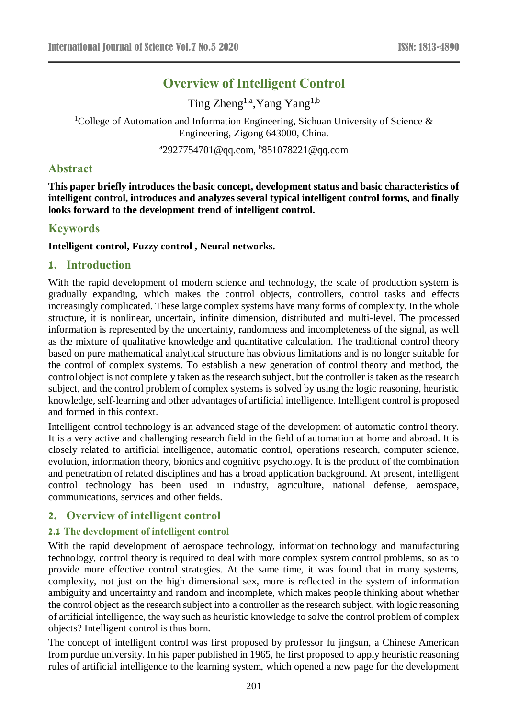# **Overview of Intelligent Control**

Ting Zheng<sup>1,a</sup>, Yang Yang<sup>1,b</sup>

<sup>1</sup>College of Automation and Information Engineering, Sichuan University of Science  $\&$ Engineering, Zigong 643000, China.

<sup>a</sup>2927754701@qq.com, <sup>b</sup>851078221@qq.com

## **Abstract**

**This paper briefly introduces the basic concept, development status and basic characteristics of intelligent control, introduces and analyzes several typical intelligent control forms, and finally looks forward to the development trend of intelligent control.**

## **Keywords**

### **Intelligent control, Fuzzy control , Neural networks.**

## **1. Introduction**

With the rapid development of modern science and technology, the scale of production system is gradually expanding, which makes the control objects, controllers, control tasks and effects increasingly complicated. These large complex systems have many forms of complexity. In the whole structure, it is nonlinear, uncertain, infinite dimension, distributed and multi-level. The processed information is represented by the uncertainty, randomness and incompleteness of the signal, as well as the mixture of qualitative knowledge and quantitative calculation. The traditional control theory based on pure mathematical analytical structure has obvious limitations and is no longer suitable for the control of complex systems. To establish a new generation of control theory and method, the control object is not completely taken as the research subject, but the controller is taken as the research subject, and the control problem of complex systems is solved by using the logic reasoning, heuristic knowledge, self-learning and other advantages of artificial intelligence. Intelligent control is proposed and formed in this context.

Intelligent control technology is an advanced stage of the development of automatic control theory. It is a very active and challenging research field in the field of automation at home and abroad. It is closely related to artificial intelligence, automatic control, operations research, computer science, evolution, information theory, bionics and cognitive psychology. It is the product of the combination and penetration of related disciplines and has a broad application background. At present, intelligent control technology has been used in industry, agriculture, national defense, aerospace, communications, services and other fields.

## **2. Overview of intelligent control**

### **2.1 The development of intelligent control**

With the rapid development of aerospace technology, information technology and manufacturing technology, control theory is required to deal with more complex system control problems, so as to provide more effective control strategies. At the same time, it was found that in many systems, complexity, not just on the high dimensional sex, more is reflected in the system of information ambiguity and uncertainty and random and incomplete, which makes people thinking about whether the control object as the research subject into a controller as the research subject, with logic reasoning of artificial intelligence, the way such as heuristic knowledge to solve the control problem of complex objects? Intelligent control is thus born.

The concept of intelligent control was first proposed by professor fu jingsun, a Chinese American from purdue university. In his paper published in 1965, he first proposed to apply heuristic reasoning rules of artificial intelligence to the learning system, which opened a new page for the development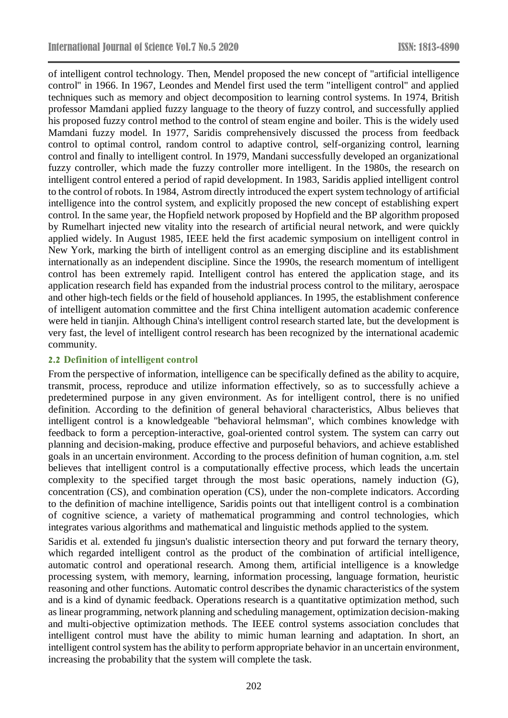of intelligent control technology. Then, Mendel proposed the new concept of "artificial intelligence control" in 1966. In 1967, Leondes and Mendel first used the term "intelligent control" and applied techniques such as memory and object decomposition to learning control systems. In 1974, British professor Mamdani applied fuzzy language to the theory of fuzzy control, and successfully applied his proposed fuzzy control method to the control of steam engine and boiler. This is the widely used Mamdani fuzzy model. In 1977, Saridis comprehensively discussed the process from feedback control to optimal control, random control to adaptive control, self-organizing control, learning control and finally to intelligent control. In 1979, Mandani successfully developed an organizational fuzzy controller, which made the fuzzy controller more intelligent. In the 1980s, the research on intelligent control entered a period of rapid development. In 1983, Saridis applied intelligent control to the control of robots. In 1984, Astrom directly introduced the expert system technology of artificial intelligence into the control system, and explicitly proposed the new concept of establishing expert control. In the same year, the Hopfield network proposed by Hopfield and the BP algorithm proposed by Rumelhart injected new vitality into the research of artificial neural network, and were quickly applied widely. In August 1985, IEEE held the first academic symposium on intelligent control in New York, marking the birth of intelligent control as an emerging discipline and its establishment internationally as an independent discipline. Since the 1990s, the research momentum of intelligent control has been extremely rapid. Intelligent control has entered the application stage, and its application research field has expanded from the industrial process control to the military, aerospace and other high-tech fields or the field of household appliances. In 1995, the establishment conference of intelligent automation committee and the first China intelligent automation academic conference were held in tianjin. Although China's intelligent control research started late, but the development is very fast, the level of intelligent control research has been recognized by the international academic community.

### **2.2 Definition of intelligent control**

From the perspective of information, intelligence can be specifically defined as the ability to acquire, transmit, process, reproduce and utilize information effectively, so as to successfully achieve a predetermined purpose in any given environment. As for intelligent control, there is no unified definition. According to the definition of general behavioral characteristics, Albus believes that intelligent control is a knowledgeable "behavioral helmsman", which combines knowledge with feedback to form a perception-interactive, goal-oriented control system. The system can carry out planning and decision-making, produce effective and purposeful behaviors, and achieve established goals in an uncertain environment. According to the process definition of human cognition, a.m. stel believes that intelligent control is a computationally effective process, which leads the uncertain complexity to the specified target through the most basic operations, namely induction (G), concentration (CS), and combination operation (CS), under the non-complete indicators. According to the definition of machine intelligence, Saridis points out that intelligent control is a combination of cognitive science, a variety of mathematical programming and control technologies, which integrates various algorithms and mathematical and linguistic methods applied to the system.

Saridis et al. extended fu jingsun's dualistic intersection theory and put forward the ternary theory, which regarded intelligent control as the product of the combination of artificial intelligence, automatic control and operational research. Among them, artificial intelligence is a knowledge processing system, with memory, learning, information processing, language formation, heuristic reasoning and other functions. Automatic control describes the dynamic characteristics of the system and is a kind of dynamic feedback. Operations research is a quantitative optimization method, such as linear programming, network planning and scheduling management, optimization decision-making and multi-objective optimization methods. The IEEE control systems association concludes that intelligent control must have the ability to mimic human learning and adaptation. In short, an intelligent control system has the ability to perform appropriate behavior in an uncertain environment, increasing the probability that the system will complete the task.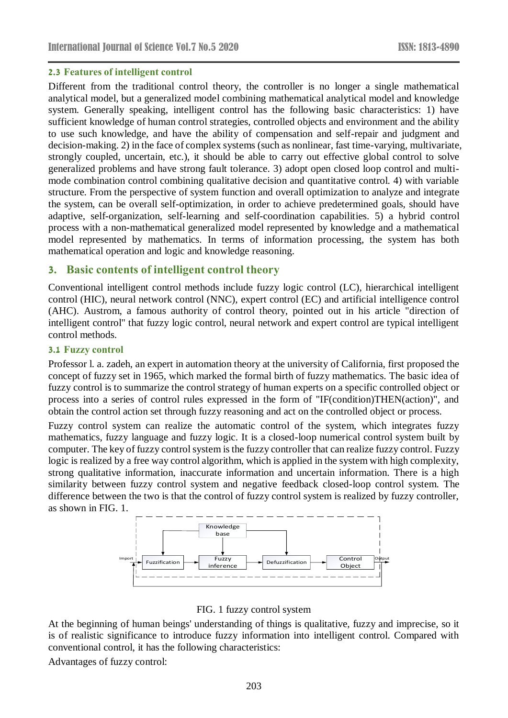### **2.3 Features of intelligent control**

Different from the traditional control theory, the controller is no longer a single mathematical analytical model, but a generalized model combining mathematical analytical model and knowledge system. Generally speaking, intelligent control has the following basic characteristics: 1) have sufficient knowledge of human control strategies, controlled objects and environment and the ability to use such knowledge, and have the ability of compensation and self-repair and judgment and decision-making. 2) in the face of complex systems (such as nonlinear, fast time-varying, multivariate, strongly coupled, uncertain, etc.), it should be able to carry out effective global control to solve generalized problems and have strong fault tolerance. 3) adopt open closed loop control and multimode combination control combining qualitative decision and quantitative control. 4) with variable structure. From the perspective of system function and overall optimization to analyze and integrate the system, can be overall self-optimization, in order to achieve predetermined goals, should have adaptive, self-organization, self-learning and self-coordination capabilities. 5) a hybrid control process with a non-mathematical generalized model represented by knowledge and a mathematical model represented by mathematics. In terms of information processing, the system has both mathematical operation and logic and knowledge reasoning.

# **3. Basic contents of intelligent control theory**

Conventional intelligent control methods include fuzzy logic control (LC), hierarchical intelligent control (HIC), neural network control (NNC), expert control (EC) and artificial intelligence control (AHC). Austrom, a famous authority of control theory, pointed out in his article "direction of intelligent control" that fuzzy logic control, neural network and expert control are typical intelligent control methods.

### **3.1 Fuzzy control**

Professor l. a. zadeh, an expert in automation theory at the university of California, first proposed the concept of fuzzy set in 1965, which marked the formal birth of fuzzy mathematics. The basic idea of fuzzy control is to summarize the control strategy of human experts on a specific controlled object or process into a series of control rules expressed in the form of "IF(condition)THEN(action)", and obtain the control action set through fuzzy reasoning and act on the controlled object or process.

Fuzzy control system can realize the automatic control of the system, which integrates fuzzy mathematics, fuzzy language and fuzzy logic. It is a closed-loop numerical control system built by computer. The key of fuzzy control system is the fuzzy controller that can realize fuzzy control. Fuzzy logic is realized by a free way control algorithm, which is applied in the system with high complexity, strong qualitative information, inaccurate information and uncertain information. There is a high similarity between fuzzy control system and negative feedback closed-loop control system. The difference between the two is that the control of fuzzy control system is realized by fuzzy controller, as shown in FIG. 1.



FIG. 1 fuzzy control system

At the beginning of human beings' understanding of things is qualitative, fuzzy and imprecise, so it is of realistic significance to introduce fuzzy information into intelligent control. Compared with conventional control, it has the following characteristics:

Advantages of fuzzy control: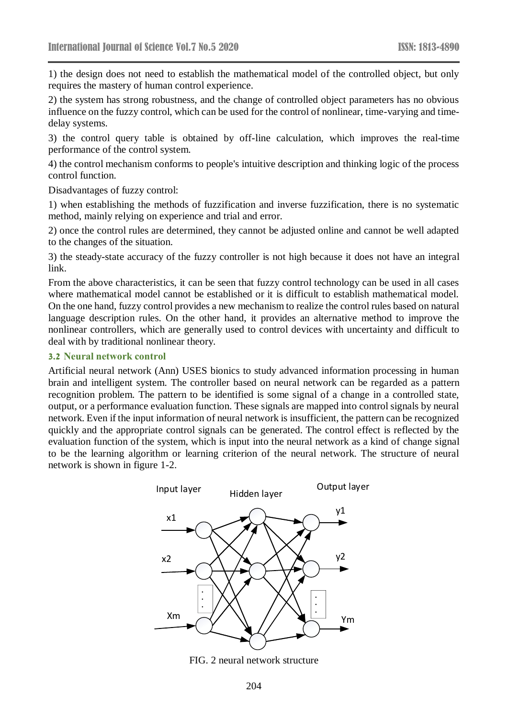1) the design does not need to establish the mathematical model of the controlled object, but only requires the mastery of human control experience.

2) the system has strong robustness, and the change of controlled object parameters has no obvious influence on the fuzzy control, which can be used for the control of nonlinear, time-varying and timedelay systems.

3) the control query table is obtained by off-line calculation, which improves the real-time performance of the control system.

4) the control mechanism conforms to people's intuitive description and thinking logic of the process control function.

Disadvantages of fuzzy control:

1) when establishing the methods of fuzzification and inverse fuzzification, there is no systematic method, mainly relying on experience and trial and error.

2) once the control rules are determined, they cannot be adjusted online and cannot be well adapted to the changes of the situation.

3) the steady-state accuracy of the fuzzy controller is not high because it does not have an integral link.

From the above characteristics, it can be seen that fuzzy control technology can be used in all cases where mathematical model cannot be established or it is difficult to establish mathematical model. On the one hand, fuzzy control provides a new mechanism to realize the control rules based on natural language description rules. On the other hand, it provides an alternative method to improve the nonlinear controllers, which are generally used to control devices with uncertainty and difficult to deal with by traditional nonlinear theory.

#### **3.2 Neural network control**

Artificial neural network (Ann) USES bionics to study advanced information processing in human brain and intelligent system. The controller based on neural network can be regarded as a pattern recognition problem. The pattern to be identified is some signal of a change in a controlled state, output, or a performance evaluation function. These signals are mapped into control signals by neural network. Even if the input information of neural network is insufficient, the pattern can be recognized quickly and the appropriate control signals can be generated. The control effect is reflected by the evaluation function of the system, which is input into the neural network as a kind of change signal to be the learning algorithm or learning criterion of the neural network. The structure of neural network is shown in figure 1-2.



FIG. 2 neural network structure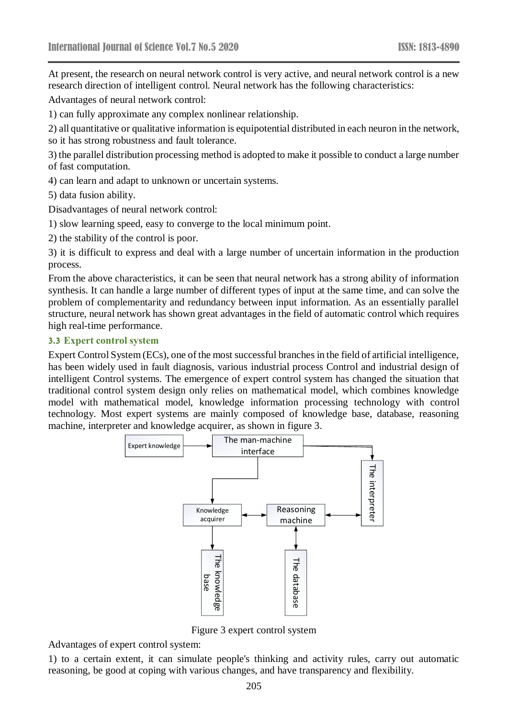At present, the research on neural network control is very active, and neural network control is a new research direction of intelligent control. Neural network has the following characteristics:

Advantages of neural network control:

1) can fully approximate any complex nonlinear relationship.

2) all quantitative or qualitative information is equipotential distributed in each neuron in the network, so it has strong robustness and fault tolerance.

3) the parallel distribution processing method is adopted to make it possible to conduct a large number of fast computation.

4) can learn and adapt to unknown or uncertain systems.

5) data fusion ability.

Disadvantages of neural network control:

1) slow learning speed, easy to converge to the local minimum point.

2) the stability of the control is poor.

3) it is difficult to express and deal with a large number of uncertain information in the production process.

From the above characteristics, it can be seen that neural network has a strong ability of information synthesis. It can handle a large number of different types of input at the same time, and can solve the problem of complementarity and redundancy between input information. As an essentially parallel structure, neural network has shown great advantages in the field of automatic control which requires high real-time performance.

#### **3.3 Expert control system**

Expert Control System (ECs), one of the most successful branches in the field of artificial intelligence, has been widely used in fault diagnosis, various industrial process Control and industrial design of intelligent Control systems. The emergence of expert control system has changed the situation that traditional control system design only relies on mathematical model, which combines knowledge model with mathematical model, knowledge information processing technology with control technology. Most expert systems are mainly composed of knowledge base, database, reasoning machine, interpreter and knowledge acquirer, as shown in figure 3.



Figure 3 expert control system

Advantages of expert control system:

1) to a certain extent, it can simulate people's thinking and activity rules, carry out automatic reasoning, be good at coping with various changes, and have transparency and flexibility.